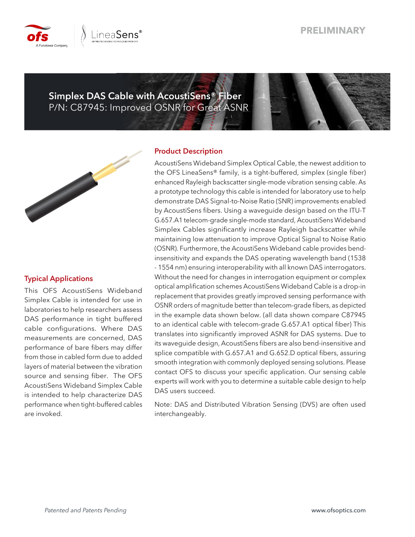## **PRELIMINARY**



**Simplex DAS Cable with AcoustiSens® Fiber** P/N: C87945: Improved OSNR for Great ASNR



### **Typical Applications**

This OFS AcoustiSens Wideband Simplex Cable is intended for use in laboratories to help researchers assess DAS performance in tight buffered cable configurations. Where DAS measurements are concerned, DAS performance of bare fibers may differ from those in cabled form due to added layers of material between the vibration source and sensing fiber. The OFS AcoustiSens Wideband Simplex Cable is intended to help characterize DAS performance when tight-buffered cables are invoked.

### **Product Description**

AcoustiSens Wideband Simplex Optical Cable, the newest addition to the OFS LineaSens® family, is a tight-buffered, simplex (single fiber) enhanced Rayleigh backscatter single-mode vibration sensing cable. As a prototype technology this cable is intended for laboratory use to help demonstrate DAS Signal-to-Noise Ratio (SNR) improvements enabled by AcoustiSens fibers. Using a waveguide design based on the ITU-T G.657.A1 telecom-grade single-mode standard, AcoustiSens Wideband Simplex Cables significantly increase Rayleigh backscatter while maintaining low attenuation to improve Optical Signal to Noise Ratio (OSNR). Furthermore, the AcoustiSens Wideband cable provides bendinsensitivity and expands the DAS operating wavelength band (1538 - 1554 nm) ensuring interoperability with all known DAS interrogators. Without the need for changes in interrogation equipment or complex optical amplification schemes AcoustiSens Wideband Cable is a drop-in replacement that provides greatly improved sensing performance with OSNR orders of magnitude better than telecom-grade fibers, as depicted in the example data shown below. (all data shown compare C87945 to an identical cable with telecom-grade G.657.A1 optical fiber) This translates into significantly improved ASNR for DAS systems. Due to its waveguide design, AcoustiSens fibers are also bend-insensitive and splice compatible with G.657.A1 and G.652.D optical fibers, assuring smooth integration with commonly deployed sensing solutions. Please contact OFS to discuss your specific application. Our sensing cable experts will work with you to determine a suitable cable design to help DAS users succeed.

Note: DAS and Distributed Vibration Sensing (DVS) are often used interchangeably.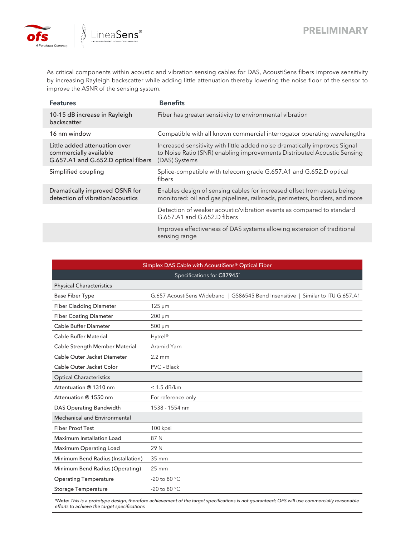

As critical components within acoustic and vibration sensing cables for DAS, AcoustiSens fibers improve sensitivity by increasing Rayleigh backscatter while adding little attenuation thereby lowering the noise floor of the sensor to improve the ASNR of the sensing system.

| <b>Features</b>                                                                                | <b>Benefits</b>                                                                                                                                                        |
|------------------------------------------------------------------------------------------------|------------------------------------------------------------------------------------------------------------------------------------------------------------------------|
| 10-15 dB increase in Rayleigh<br>backscatter                                                   | Fiber has greater sensitivity to environmental vibration                                                                                                               |
| 16 nm window                                                                                   | Compatible with all known commercial interrogator operating wavelengths                                                                                                |
| Little added attenuation over<br>commercially available<br>G.657.A1 and G.652.D optical fibers | Increased sensitivity with little added noise dramatically improves Signal<br>to Noise Ratio (SNR) enabling improvements Distributed Acoustic Sensing<br>(DAS) Systems |
| Simplified coupling                                                                            | Splice-compatible with telecom grade G.657.A1 and G.652.D optical<br>fibers                                                                                            |
| Dramatically improved OSNR for<br>detection of vibration/acoustics                             | Enables design of sensing cables for increased offset from assets being<br>monitored: oil and gas pipelines, railroads, perimeters, borders, and more                  |
|                                                                                                | Detection of weaker acoustic/vibration events as compared to standard<br>G.657.A1 and G.652.D fibers                                                                   |
|                                                                                                | Improves effectiveness of DAS systems allowing extension of traditional<br>sensing range                                                                               |

| Simplex DAS Cable with AcoustiSens® Optical Fiber |                                                                                 |  |  |  |  |  |  |  |  |
|---------------------------------------------------|---------------------------------------------------------------------------------|--|--|--|--|--|--|--|--|
| Specifications for C87945*                        |                                                                                 |  |  |  |  |  |  |  |  |
| <b>Physical Characteristics</b>                   |                                                                                 |  |  |  |  |  |  |  |  |
| <b>Base Fiber Type</b>                            | G.657 AcoustiSens Wideband   GS86545 Bend Insensitive   Similar to ITU G.657.A1 |  |  |  |  |  |  |  |  |
| <b>Fiber Cladding Diameter</b>                    | $125 \mu m$                                                                     |  |  |  |  |  |  |  |  |
| <b>Fiber Coating Diameter</b>                     | $200 \mu m$                                                                     |  |  |  |  |  |  |  |  |
| <b>Cable Buffer Diameter</b>                      | $500 \mu m$                                                                     |  |  |  |  |  |  |  |  |
| <b>Cable Buffer Material</b>                      | Hytrel <sup>®</sup>                                                             |  |  |  |  |  |  |  |  |
| Cable Strength Member Material                    | Aramid Yarn                                                                     |  |  |  |  |  |  |  |  |
| Cable Outer Jacket Diameter                       | $2.2 \text{ mm}$                                                                |  |  |  |  |  |  |  |  |
| Cable Outer Jacket Color                          | PVC - Black                                                                     |  |  |  |  |  |  |  |  |
| <b>Optical Characteristics</b>                    |                                                                                 |  |  |  |  |  |  |  |  |
| Attentuation @ 1310 nm                            | $\leq$ 1.5 dB/km                                                                |  |  |  |  |  |  |  |  |
| Attenuation @ 1550 nm                             | For reference only                                                              |  |  |  |  |  |  |  |  |
| DAS Operating Bandwidth                           | 1538 - 1554 nm                                                                  |  |  |  |  |  |  |  |  |
| <b>Mechanical and Environmental</b>               |                                                                                 |  |  |  |  |  |  |  |  |
| <b>Fiber Proof Test</b>                           | 100 kpsi                                                                        |  |  |  |  |  |  |  |  |
| Maximum Installation Load                         | 87 N                                                                            |  |  |  |  |  |  |  |  |
| Maximum Operating Load                            | 29 N                                                                            |  |  |  |  |  |  |  |  |
| Minimum Bend Radius (Installation)                | 35 mm                                                                           |  |  |  |  |  |  |  |  |
| Minimum Bend Radius (Operating)                   | $25 \text{ mm}$                                                                 |  |  |  |  |  |  |  |  |
| <b>Operating Temperature</b>                      | -20 to 80 °C                                                                    |  |  |  |  |  |  |  |  |
| <b>Storage Temperature</b>                        | -20 to 80 °C                                                                    |  |  |  |  |  |  |  |  |

*\*Note: This is a prototype design, therefore achievement of the target specifications is not guaranteed; OFS will use commercially reasonable efforts to achieve the target specifications*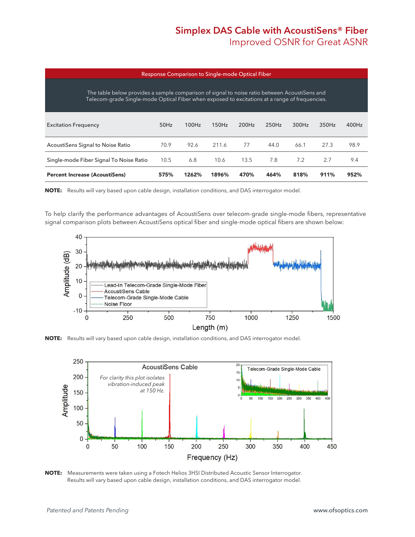# **Simplex DAS Cable with AcoustiSens® Fiber Improved OSNR for Great ASNR**

| Response Comparison to Single-mode Optical Fiber                                                                                                                                                |         |       |       |       |       |       |       |       |  |  |  |
|-------------------------------------------------------------------------------------------------------------------------------------------------------------------------------------------------|---------|-------|-------|-------|-------|-------|-------|-------|--|--|--|
| The table below provides a sample comparison of signal to noise ratio between AcoustiSens and<br>Telecom-grade Single-mode Optical Fiber when exposed to excitations at a range of frequencies. |         |       |       |       |       |       |       |       |  |  |  |
| <b>Excitation Frequency</b>                                                                                                                                                                     | $50$ Hz | 100Hz | 150Hz | 200Hz | 250Hz | 300Hz | 350Hz | 400Hz |  |  |  |
| AcoustiSens Signal to Noise Ratio                                                                                                                                                               | 70.9    | 92.6  | 211.6 | 77    | 44.0  | 66.1  | 27.3  | 98.9  |  |  |  |
| Single-mode Fiber Signal To Noise Ratio                                                                                                                                                         | 10.5    | 6.8   | 10.6  | 13.5  | 7.8   | 7.2   | 2.7   | 9.4   |  |  |  |
| <b>Percent Increase (AcoustiSens)</b>                                                                                                                                                           | 575%    | 1262% | 1896% | 470%  | 464%  | 818%  | 911%  | 952%  |  |  |  |

**NOTE:** Results will vary based upon cable design, installation conditions, and DAS interrogator model.

To help clarify the performance advantages of AcoustiSens over telecom-grade single-mode fibers, representative signal comparison plots between AcoustiSens optical fiber and single-mode optical fibers are shown below:



**NOTE:** Results will vary based upon cable design, installation conditions, and DAS interrogator model.



**NOTE:** Measurements were taken using a Fotech Helios 3HSI Distributed Acoustic Sensor Interrogator. Results will vary based upon cable design, installation conditions, and DAS interrogator model.